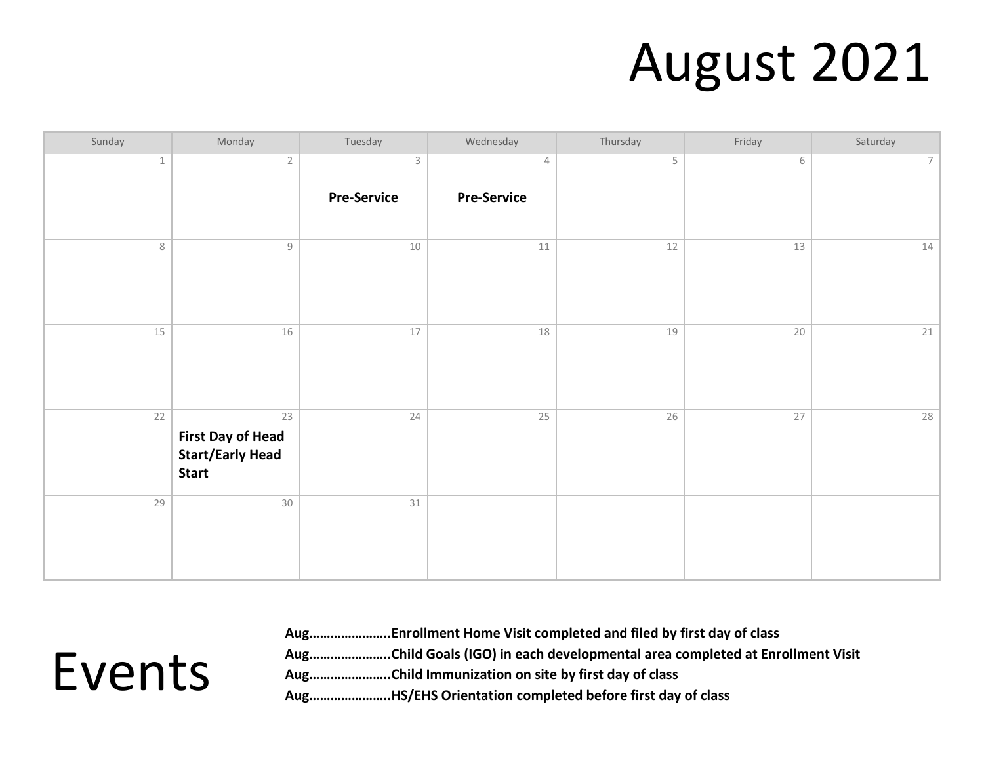#### August 2021

| Sunday      | Monday                                                                    | Tuesday                           | Wednesday                            | Thursday | Friday | Saturday        |
|-------------|---------------------------------------------------------------------------|-----------------------------------|--------------------------------------|----------|--------|-----------------|
| $\mathbf 1$ | $\sqrt{2}$                                                                | $\mathsf 3$<br><b>Pre-Service</b> | $\overline{4}$<br><b>Pre-Service</b> | 5        | 6      | $7\overline{ }$ |
| 8           | $\mathcal G$                                                              | 10                                | $11\,$                               | $12$     | 13     | 14              |
| 15          | $16\,$                                                                    | 17                                | 18                                   | 19       | $20\,$ | 21              |
| 22          | 23<br><b>First Day of Head</b><br><b>Start/Early Head</b><br><b>Start</b> | 24                                | 25                                   | 26       | $27\,$ | 28              |
| 29          | $30\,$                                                                    | $31\,$                            |                                      |          |        |                 |

Events

**Aug…………………..Enrollment Home Visit completed and filed by first day of class Aug…………………..Child Goals (IGO) in each developmental area completed at Enrollment Visit Aug…………………..Child Immunization on site by first day of class Aug…………………..HS/EHS Orientation completed before first day of class**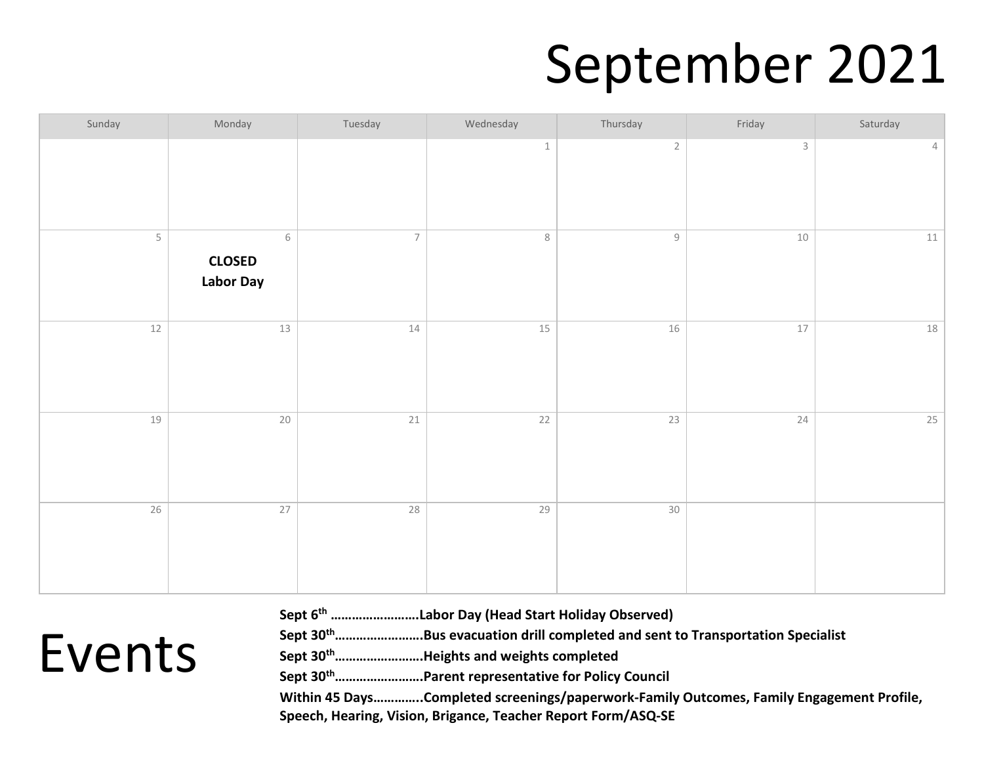## September 2021

| Sunday | Monday                                              | Tuesday        | Wednesday | Thursday        | Friday      | Saturday   |
|--------|-----------------------------------------------------|----------------|-----------|-----------------|-------------|------------|
|        |                                                     |                | $\,1\,$   | $\sqrt{2}$      | $\mathsf 3$ | $\sqrt{4}$ |
| 5      | $\,$ $\,$ $\,$<br><b>CLOSED</b><br><b>Labor Day</b> | $\overline{7}$ | $\,8\,$   | $\mathcal G$    | $10$        | $11\,$     |
| 12     | $13$                                                | $14\,$         | 15        | 16              | $17$        | $18\,$     |
| 19     | $20\,$                                              | 21             | 22        | $\overline{23}$ | 24          | 25         |
| 26     | $\overline{27}$                                     | 28             | 29        | $30\,$          |             |            |

Events

**Sept 6th …………………….Labor Day (Head Start Holiday Observed)**

**Sept 30th…………………….Bus evacuation drill completed and sent to Transportation Specialist**

**Sept 30th…………………….Heights and weights completed**

**Sept 30th…………………….Parent representative for Policy Council**

**Within 45 Days…………..Completed screenings/paperwork-Family Outcomes, Family Engagement Profile, Speech, Hearing, Vision, Brigance, Teacher Report Form/ASQ-SE**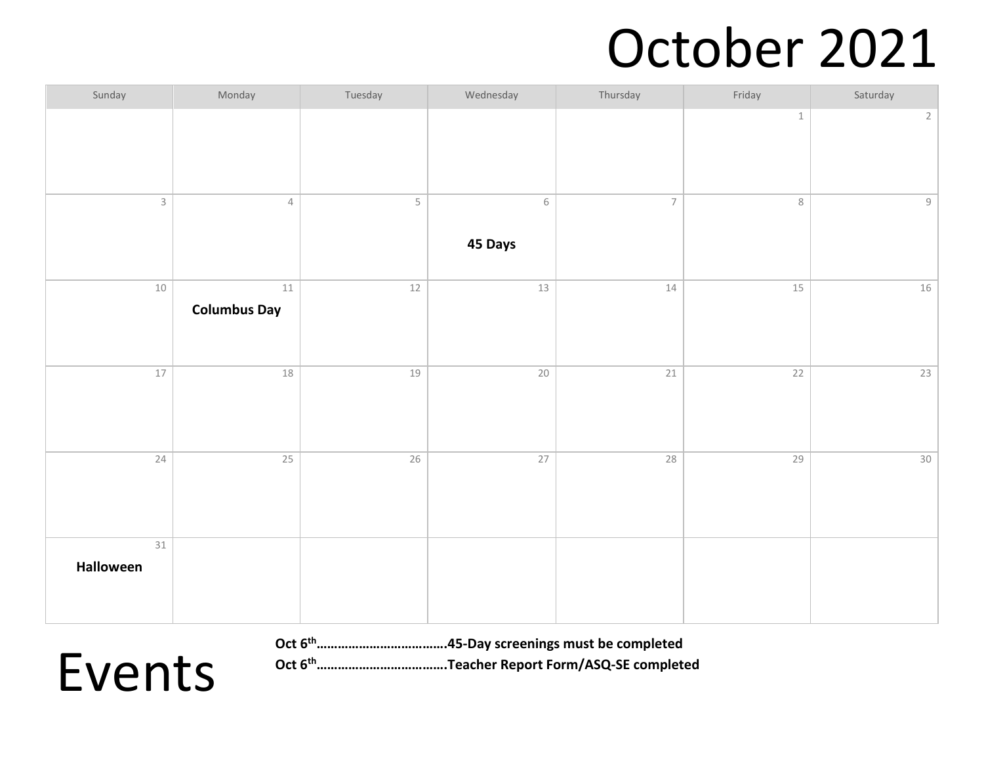## October 2021

| Sunday              | Monday                        | Tuesday     | Wednesday                 | Thursday       | Friday          | Saturday        |
|---------------------|-------------------------------|-------------|---------------------------|----------------|-----------------|-----------------|
|                     |                               |             |                           |                | $\mathbbm{1}$   | $2\overline{ }$ |
| $\mathsf 3$         | $\sqrt{4}$                    | $\mathsf S$ | $\,$ $\,$ $\,$<br>45 Days | $\overline{7}$ | $\,8\,$         | $\mathsf g$     |
| 10                  | $11\,$<br><b>Columbus Day</b> | $12$        | 13                        | $14$           | 15              | 16              |
| 17                  | $18\,$                        | 19          | 20                        | 21             | $\overline{22}$ | 23              |
| 24                  | 25                            | 26          | 27                        | 28             | 29              | 30              |
| $31\,$<br>Halloween |                               |             |                           |                |                 |                 |

**Oct 6th……………………………….45-Day screenings must be completed**

**Oct 6th……………………………….Teacher Report Form/ASQ-SE completed**

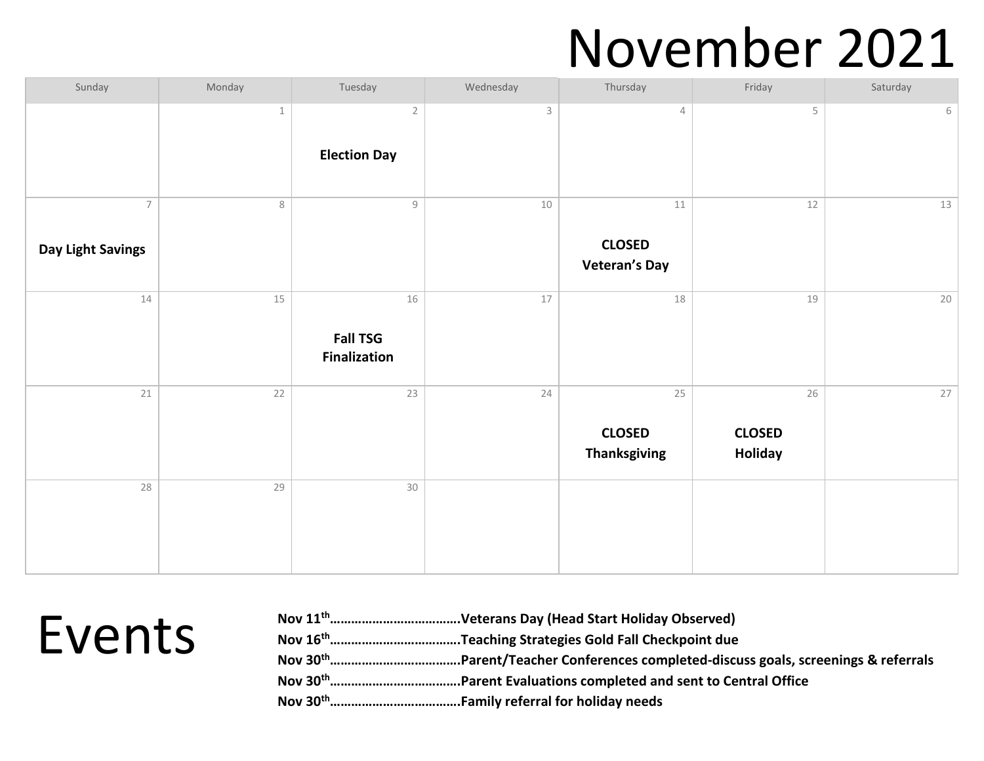#### November 2021

| Sunday                              | Monday      | Tuesday                                                   | Wednesday   | Thursday                                        | Friday                         | Saturday |
|-------------------------------------|-------------|-----------------------------------------------------------|-------------|-------------------------------------------------|--------------------------------|----------|
|                                     | $\mathbf 1$ | $\overline{2}$<br><b>Election Day</b>                     | $\mathsf 3$ | $\overline{4}$                                  | 5                              | 6        |
| $\overline{7}$<br>Day Light Savings | $\,8\,$     | $\mathcal{G}% _{M_{1},M_{2}}^{\alpha,\beta}(\varepsilon)$ | $10\,$      | $11\,$<br><b>CLOSED</b><br><b>Veteran's Day</b> | $12\,$                         | 13       |
| $14\,$                              | $15\,$      | 16<br><b>Fall TSG</b><br><b>Finalization</b>              | $17$        | 18                                              | 19                             | 20       |
| 21                                  | 22          | 23                                                        | 24          | 25<br><b>CLOSED</b><br><b>Thanksgiving</b>      | 26<br><b>CLOSED</b><br>Holiday | 27       |
| 28                                  | 29          | 30                                                        |             |                                                 |                                |          |

| Events |
|--------|
|--------|

| <b>Events</b> |  |
|---------------|--|
|               |  |
|               |  |
|               |  |
|               |  |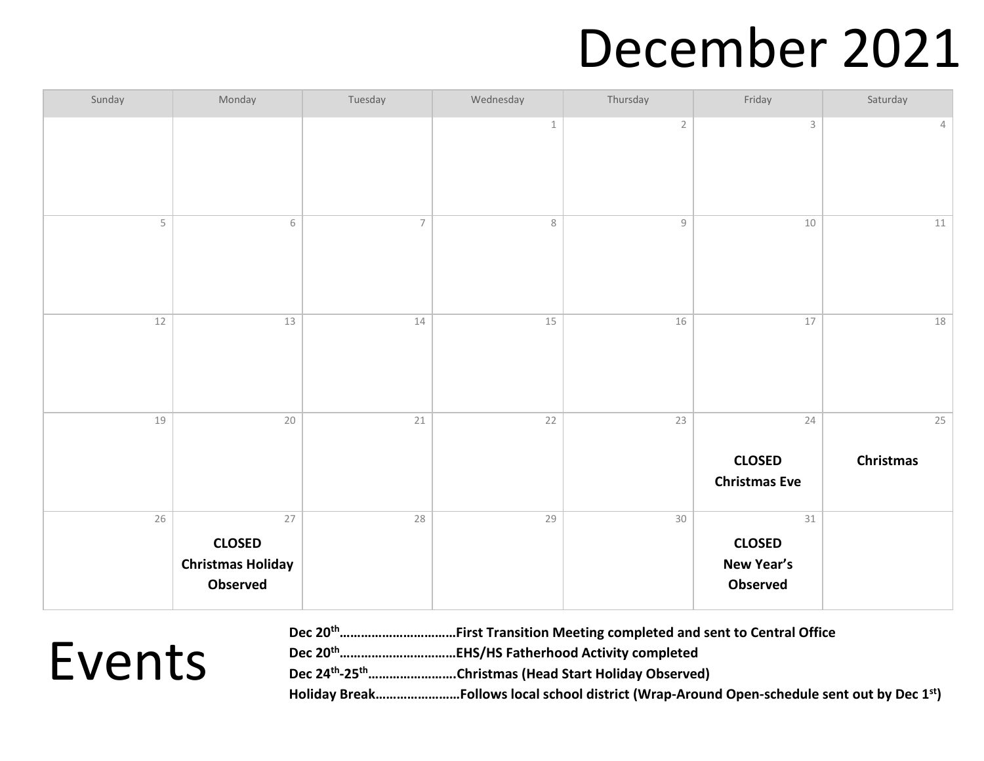#### December 2021

| Sunday | Monday                                                      | Tuesday        | Wednesday | Thursday     | Friday                                               | Saturday               |
|--------|-------------------------------------------------------------|----------------|-----------|--------------|------------------------------------------------------|------------------------|
|        |                                                             |                | $\,1\,$   | $\sqrt{2}$   | $\mathsf 3$                                          | $\overline{4}$         |
| 5      | $\,$ $\,$ $\,$                                              | $\overline{7}$ | $\,8\,$   | $\mathcal G$ | 10                                                   | $11\,$                 |
| $12\,$ | $13\,$                                                      | 14             | 15        | 16           | $17$                                                 | $18\,$                 |
| 19     | $20\,$                                                      | $21\,$         | 22        | 23           | 24<br><b>CLOSED</b><br><b>Christmas Eve</b>          | 25<br><b>Christmas</b> |
| 26     | 27<br><b>CLOSED</b><br><b>Christmas Holiday</b><br>Observed | 28             | 29        | 30           | 31<br><b>CLOSED</b><br><b>New Year's</b><br>Observed |                        |

| Dec 20 <sup>th</sup> First Transition Meeting completed and sent to Central Office |
|------------------------------------------------------------------------------------|
|                                                                                    |
| Dec 24 <sup>th</sup> -25 <sup>th</sup> Christmas (Head Start Holiday Observed)     |
|                                                                                    |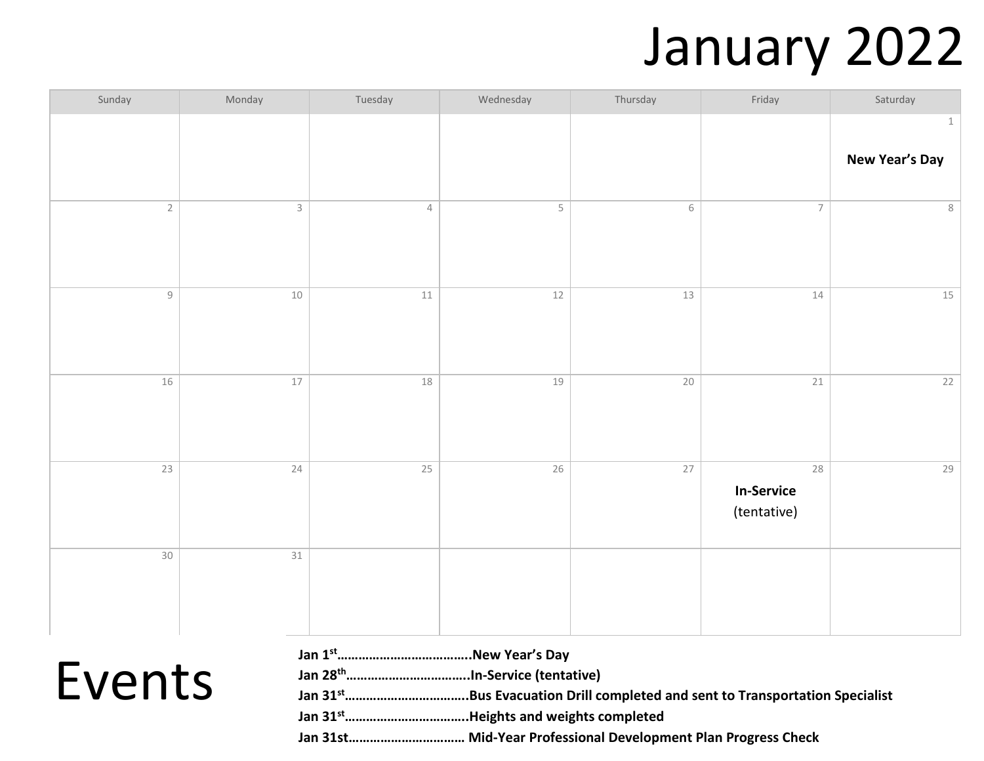## January 2022

| Sunday         | Monday      | Tuesday    | Wednesday   | Thursday       | Friday            | Saturday              |
|----------------|-------------|------------|-------------|----------------|-------------------|-----------------------|
|                |             |            |             |                |                   | $\mathbf 1$           |
|                |             |            |             |                |                   | <b>New Year's Day</b> |
|                |             |            |             |                |                   |                       |
| $\sqrt{2}$     | $\mathsf 3$ | $\sqrt{4}$ | $\mathsf S$ | $\,$ $\,$ $\,$ | $\overline{7}$    | $\,8\,$               |
|                |             |            |             |                |                   |                       |
|                |             |            |             |                |                   |                       |
|                |             |            |             |                |                   |                       |
| $\overline{9}$ | $10$        | $11$       | $12$        | $13$           | $14\,$            | $15\,$                |
|                |             |            |             |                |                   |                       |
|                |             |            |             |                |                   |                       |
| 16             | $17\,$      | 18         | 19          | 20             | 21                | 22                    |
|                |             |            |             |                |                   |                       |
|                |             |            |             |                |                   |                       |
|                |             |            |             |                |                   |                       |
| 23             | 24          | 25         | 26          | $27\,$         | 28                | 29                    |
|                |             |            |             |                | <b>In-Service</b> |                       |
|                |             |            |             |                | (tentative)       |                       |
| 30             | $31\,$      |            |             |                |                   |                       |
|                |             |            |             |                |                   |                       |
|                |             |            |             |                |                   |                       |
|                |             |            |             |                |                   |                       |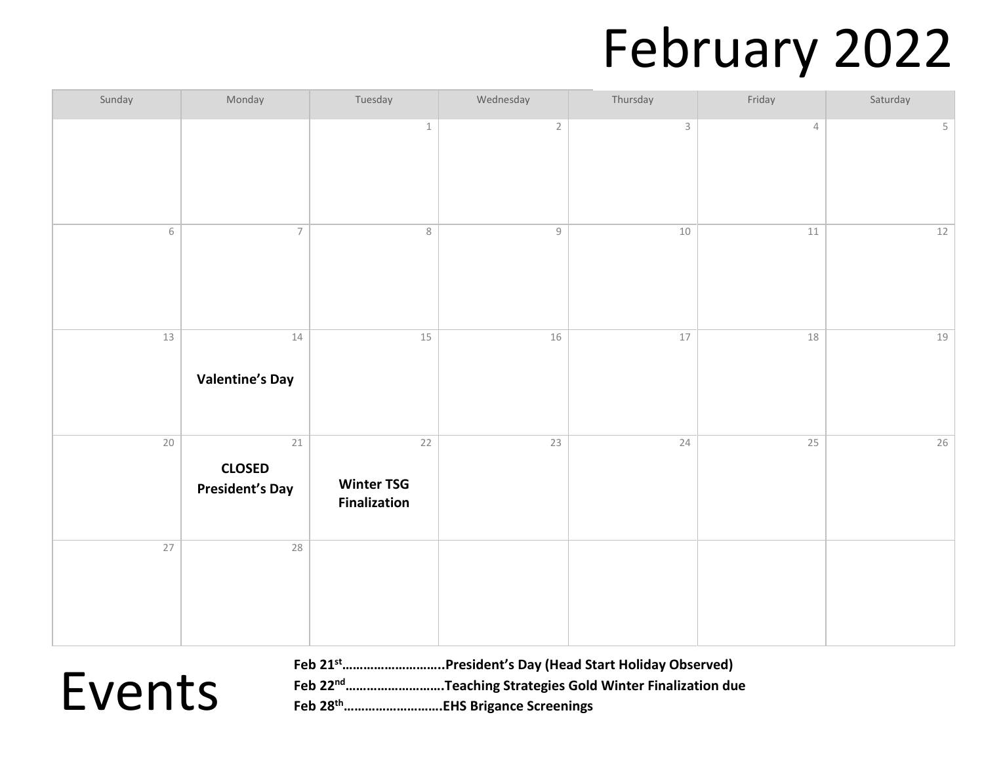## February 2022

| Sunday         | Monday                                        | Tuesday                                        | Wednesday                                                 | Thursday     | Friday         | Saturday       |
|----------------|-----------------------------------------------|------------------------------------------------|-----------------------------------------------------------|--------------|----------------|----------------|
|                |                                               | $\mathbf{1}$                                   | $\overline{2}$                                            | $\mathsf{3}$ | $\overline{4}$ | 5 <sup>1</sup> |
| $\,$ $\,$ $\,$ | $\overline{\phantom{a}}$                      | $\,8\,$                                        | $\mathcal{G}% _{M_{1},M_{2}}^{\alpha,\beta}(\varepsilon)$ | $10\,$       | $11\,$         | 12             |
| 13             | 14<br><b>Valentine's Day</b>                  | 15                                             | 16                                                        | $17\,$       | 18             | 19             |
| $20\,$         | 21<br><b>CLOSED</b><br><b>President's Day</b> | 22<br><b>Winter TSG</b><br><b>Finalization</b> | 23                                                        | 24           | 25             | 26             |
| 27             | 28                                            |                                                |                                                           |              |                |                |

Events

**Feb 21st………………………..President's Day (Head Start Holiday Observed) Feb 22nd……………………….Teaching Strategies Gold Winter Finalization due Feb 28th……………………….EHS Brigance Screenings**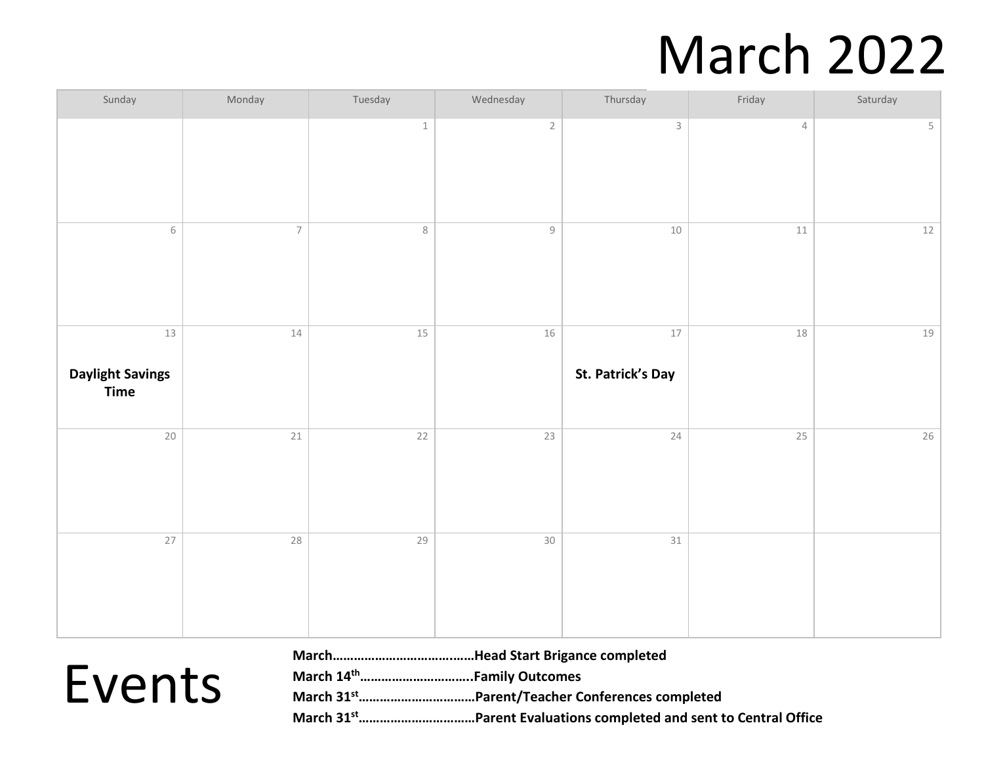## March 2022

| Sunday                                       | Monday                   | Tuesday         | Wednesday                                                 | Thursday                    | Friday | Saturday |
|----------------------------------------------|--------------------------|-----------------|-----------------------------------------------------------|-----------------------------|--------|----------|
|                                              |                          | $\,1\,$         | $\sqrt{2}$                                                | $\mathsf{3}$                | 4      | 5        |
| $\,$ $\,$ $\,$                               | $\overline{\phantom{a}}$ | $\,8\,$         | $\mathcal{G}% _{M_{1},M_{2}}^{\alpha,\beta}(\varepsilon)$ | $10\,$                      | $11\,$ | $12\,$   |
| 13<br><b>Daylight Savings</b><br><b>Time</b> | $14\,$                   | 15              | 16                                                        | $17\,$<br>St. Patrick's Day | 18     | 19       |
| $\overline{20}$                              | 21                       | $\overline{22}$ | $\overline{23}$                                           | 24                          | 25     | 26       |
| $\overline{27}$                              | $28\,$                   | 29              | $30\,$                                                    | $31\,$                      |        |          |

| Events |
|--------|
|--------|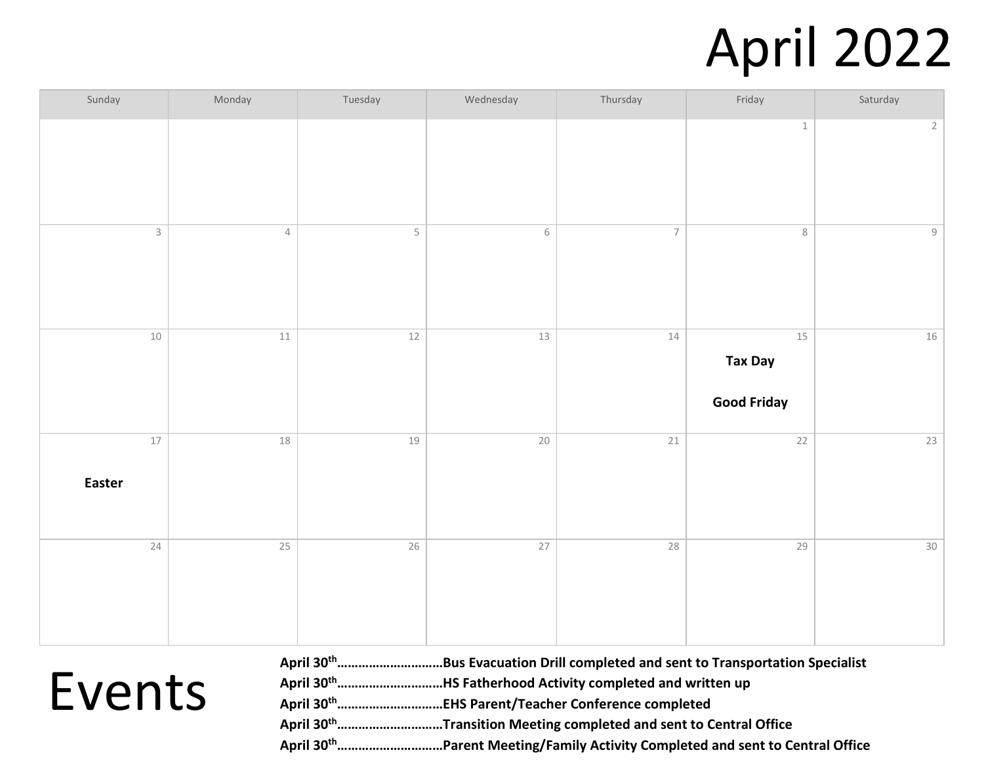## April 2022

| Sunday                  | Monday     | Tuesday                 | Wednesday       | Thursday        | Friday                                       | Saturday       |
|-------------------------|------------|-------------------------|-----------------|-----------------|----------------------------------------------|----------------|
|                         |            |                         |                 |                 | $\,1\,$                                      | $\overline{2}$ |
| $\overline{\mathbf{3}}$ | $\sqrt{4}$ | $\overline{\mathsf{5}}$ | $\,$ $\,$ $\,$  | $\overline{7}$  | $\,$ 8 $\,$                                  | $\mathsf g$    |
| $10\,$                  | $11\,$     | $12\,$                  | 13              | $14\,$          | $15$<br><b>Tax Day</b><br><b>Good Friday</b> | 16             |
| $17$<br>Easter          | 18         | $19$                    | $\overline{20}$ | $\overline{21}$ | $\overline{22}$                              | 23             |
| 24                      | $25$       | $\overline{26}$         | 27              | $28$            | 29                                           | $30\,$         |

| April 30 <sup>th</sup> Bus Evacuation Drill completed and sent to Transportation Specialist |
|---------------------------------------------------------------------------------------------|
| April 30 <sup>th</sup> HS Fatherhood Activity completed and written up                      |
| April 30 <sup>th</sup> EHS Parent/Teacher Conference completed                              |
| April 30 <sup>th</sup> Transition Meeting completed and sent to Central Office              |
| April 30 <sup>th</sup> Parent Meeting/Family Activity Completed and sent to Central Office  |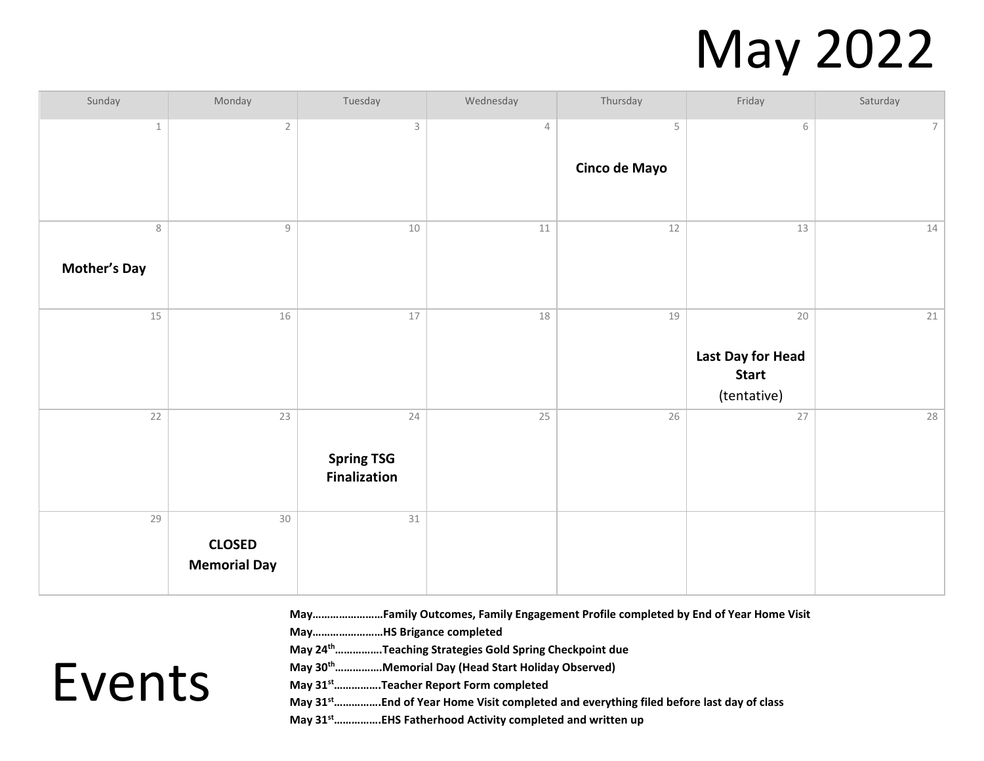## May 2022

| Sunday                   | Monday                                                    | Tuesday                                        | Wednesday  | Thursday                     | Friday                                                            | Saturday        |
|--------------------------|-----------------------------------------------------------|------------------------------------------------|------------|------------------------------|-------------------------------------------------------------------|-----------------|
| $\,1\,$                  | $\sqrt{2}$                                                | $\ensuremath{\mathsf{3}}$                      | $\sqrt{4}$ | $\mathsf S$<br>Cinco de Mayo | $\,$ $\,$ $\,$                                                    | $7\overline{ }$ |
| 8<br><b>Mother's Day</b> | $\mathcal{G}% _{M_{1},M_{2}}^{\alpha,\beta}(\varepsilon)$ | $10\,$                                         | $11\,$     | 12                           | 13                                                                | 14              |
| 15                       | 16                                                        | $17\,$                                         | 18         | 19                           | $20\,$<br><b>Last Day for Head</b><br><b>Start</b><br>(tentative) | 21              |
| $22$                     | 23                                                        | 24<br><b>Spring TSG</b><br><b>Finalization</b> | 25         | 26                           | $27\,$                                                            | 28              |
| 29                       | 30<br><b>CLOSED</b><br><b>Memorial Day</b>                | $31\,$                                         |            |                              |                                                                   |                 |

**May……………………Family Outcomes, Family Engagement Profile completed by End of Year Home Visit**

**May……………………HS Brigance completed**

**May 24th…………….Teaching Strategies Gold Spring Checkpoint due**

**May 30th…………….Memorial Day (Head Start Holiday Observed)**

**May 31st…………….Teacher Report Form completed**

**May 31st…………….End of Year Home Visit completed and everything filed before last day of class**

**May 31st…………….EHS Fatherhood Activity completed and written up**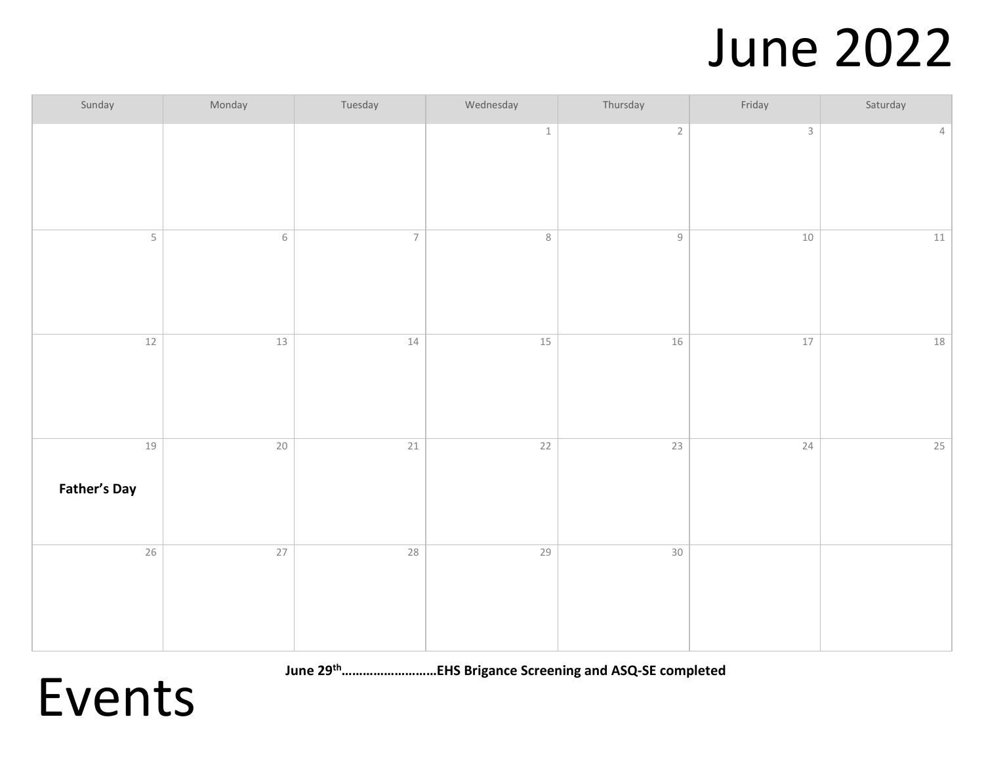#### June 2022

| Sunday                      | Monday         | Tuesday                  | Wednesday       | Thursday                                                  | Friday      | Saturday       |
|-----------------------------|----------------|--------------------------|-----------------|-----------------------------------------------------------|-------------|----------------|
|                             |                |                          | $\,1\,$         | $\sqrt{2}$                                                | $\mathsf 3$ | $\overline{4}$ |
| 5                           | $\,$ $\,$ $\,$ | $\overline{\mathcal{I}}$ | $\,8\,$         | $\mathcal{G}% _{M_{1},M_{2}}^{\alpha,\beta}(\varepsilon)$ | $10\,$      | 11             |
| $12$                        | $13$           | $14$                     | $15$            | $16$                                                      | $17$        | $18\,$         |
| $19$<br><b>Father's Day</b> | $20$           | $\overline{21}$          | $\overline{22}$ | $23$                                                      | 24          | 25             |
| 26                          | $27$           | $28\,$                   | 29              | $30\,$                                                    |             |                |

**June 29th………………………EHS Brigance Screening and ASQ-SE completed**